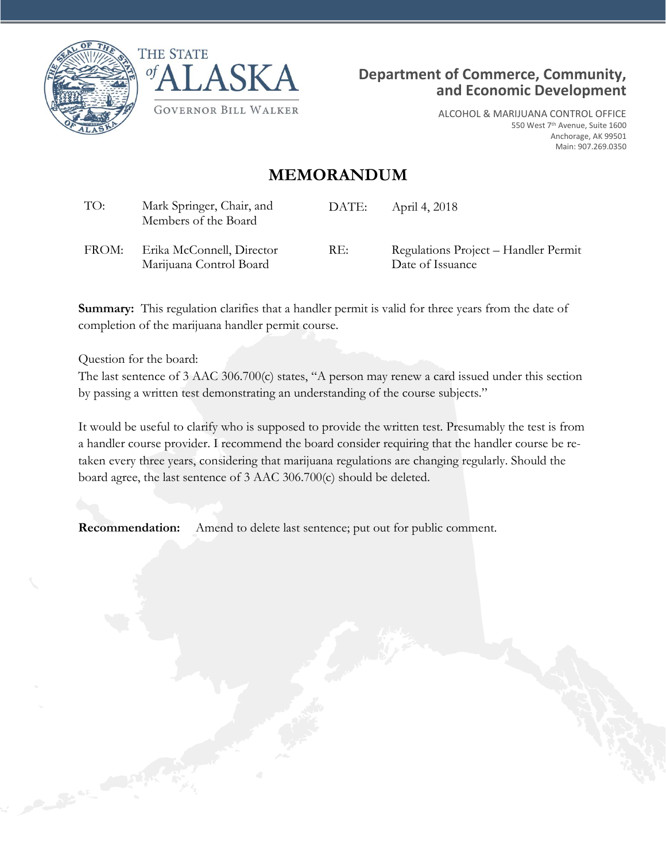





ALCOHOL & MARIJUANA CONTROL OFFICE 550 West 7th Avenue, Suite 1600 Anchorage, AK 99501 Main: 907.269.0350

## **MEMORANDUM**

| TO:   | Mark Springer, Chair, and<br>Members of the Board    | DATE: | April 4, 2018                                            |
|-------|------------------------------------------------------|-------|----------------------------------------------------------|
| FROM: | Erika McConnell, Director<br>Marijuana Control Board | RE:   | Regulations Project – Handler Permit<br>Date of Issuance |

**Summary:** This regulation clarifies that a handler permit is valid for three years from the date of completion of the marijuana handler permit course.

Question for the board:

The last sentence of 3 AAC 306.700(c) states, "A person may renew a card issued under this section by passing a written test demonstrating an understanding of the course subjects."

It would be useful to clarify who is supposed to provide the written test. Presumably the test is from a handler course provider. I recommend the board consider requiring that the handler course be retaken every three years, considering that marijuana regulations are changing regularly. Should the board agree, the last sentence of 3 AAC 306.700(c) should be deleted.

**Recommendation:** Amend to delete last sentence; put out for public comment.